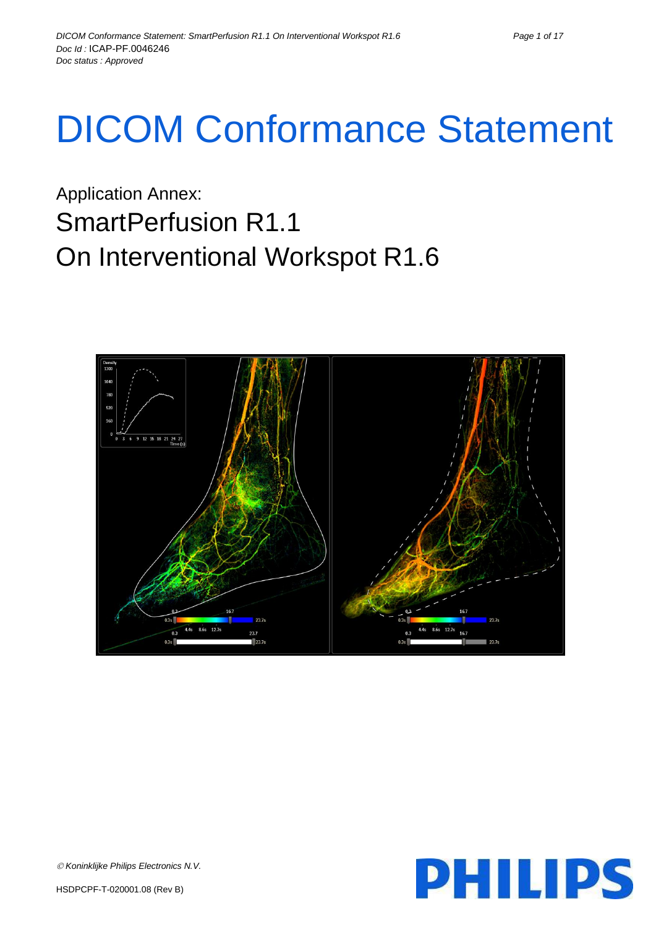# DICOM Conformance Statement

Application Annex: SmartPerfusion R1.1 On Interventional Workspot R1.6



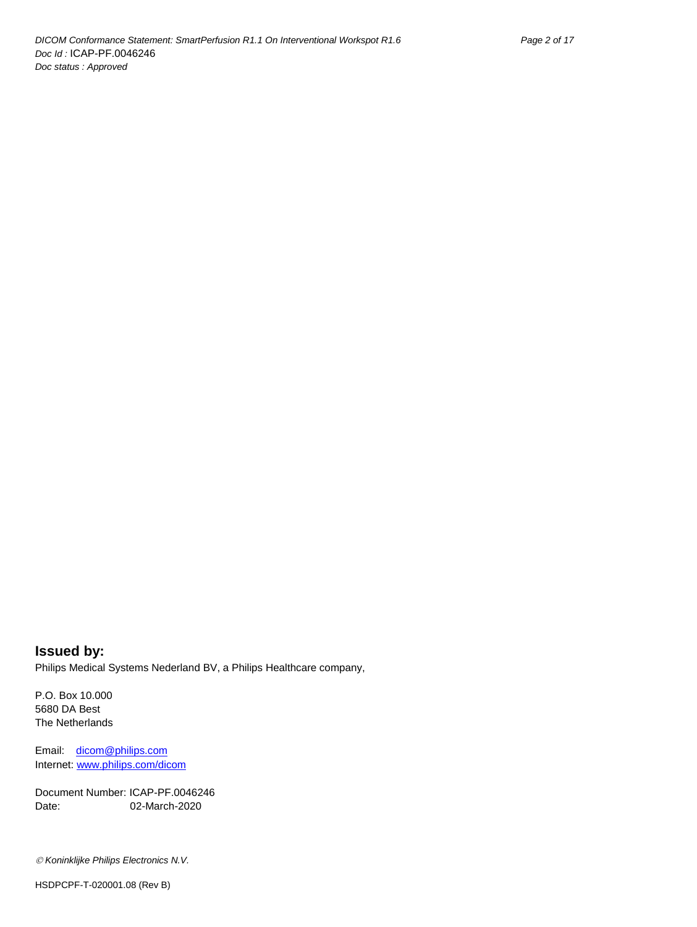**Issued by:** Philips Medical Systems Nederland BV, a Philips Healthcare company,

P.O. Box 10.000 5680 DA Best The Netherlands

Email: [dicom@philips.com](mailto:dicom@philips.com) Internet[: www.philips.com/dicom](http://www.philips.com/dicom)

Document Number: ICAP-PF.0046246 Date: 02-March-2020

*Koninklijke Philips Electronics N.V.*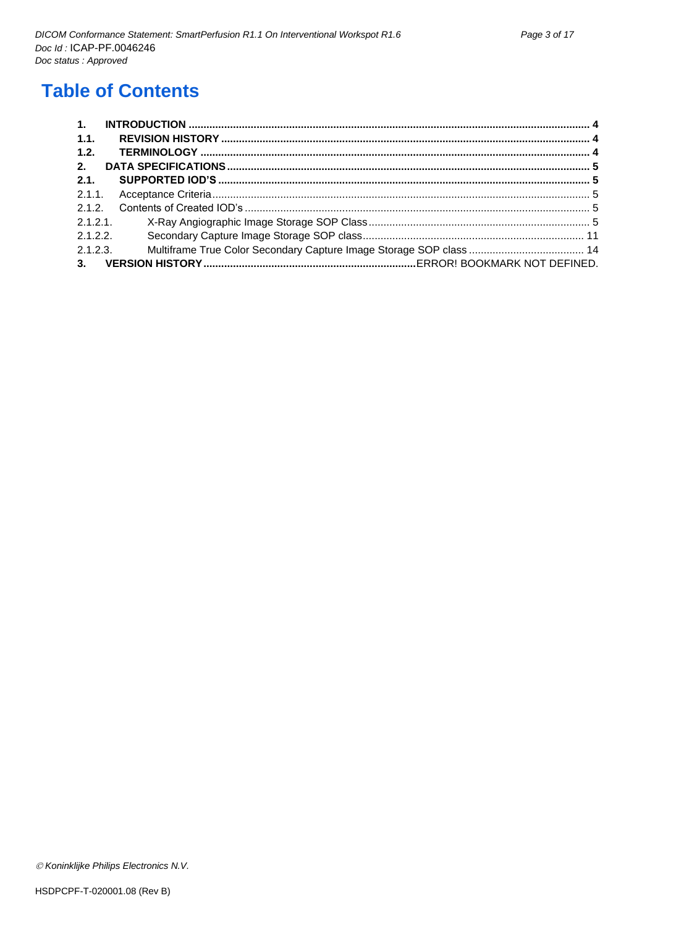# **Table of Contents**

| $\mathbf{1}$ . |  |
|----------------|--|
| $-1.1.$        |  |
| 1.2.           |  |
| 2.             |  |
| 2.1.           |  |
|                |  |
| 2.1.2.         |  |
| 2.1.2.1        |  |
| 2.1.2.2        |  |
| 2.1.2.3.       |  |
| 3.             |  |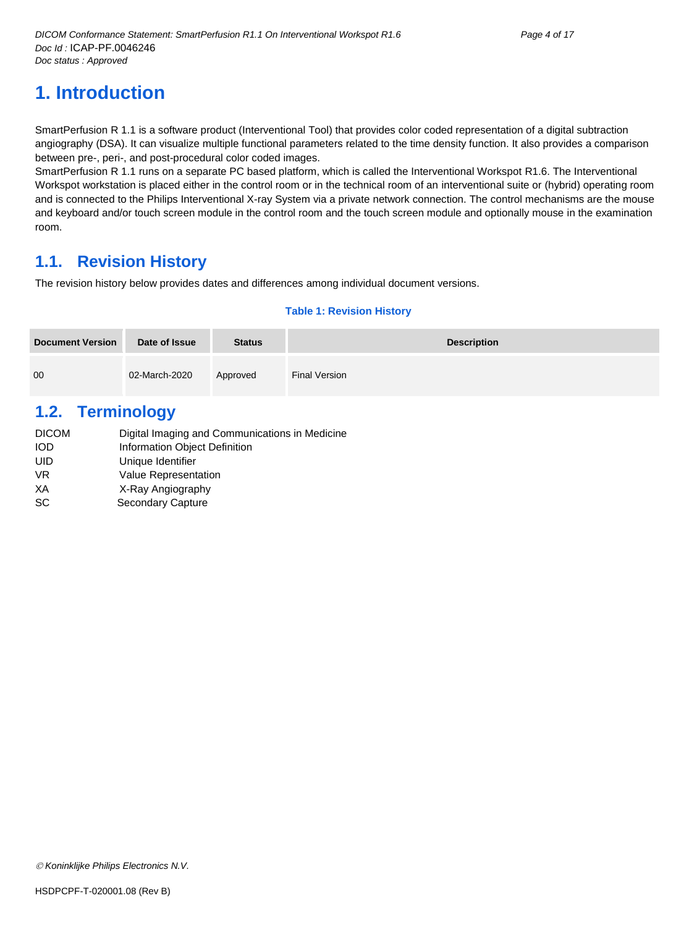# <span id="page-3-0"></span>**1. Introduction**

SmartPerfusion R 1.1 is a software product (Interventional Tool) that provides color coded representation of a digital subtraction angiography (DSA). It can visualize multiple functional parameters related to the time density function. It also provides a comparison between pre-, peri-, and post-procedural color coded images.

SmartPerfusion R 1.1 runs on a separate PC based platform, which is called the Interventional Workspot R1.6. The Interventional Workspot workstation is placed either in the control room or in the technical room of an interventional suite or (hybrid) operating room and is connected to the Philips Interventional X-ray System via a private network connection. The control mechanisms are the mouse and keyboard and/or touch screen module in the control room and the touch screen module and optionally mouse in the examination room.

## <span id="page-3-1"></span>**1.1. Revision History**

The revision history below provides dates and differences among individual document versions.

#### **Table 1: Revision History**

| <b>Document Version</b> | Date of Issue | <b>Status</b> | <b>Description</b> |
|-------------------------|---------------|---------------|--------------------|
| 00                      | 02-March-2020 | Approved      | Final Version      |

## <span id="page-3-2"></span>**1.2. Terminology**

| Digital Imaging and Communications in Medicine |
|------------------------------------------------|
| Information Object Definition                  |
| Unique Identifier                              |
| <b>Value Representation</b>                    |
| X-Ray Angiography                              |
| Secondary Capture                              |
|                                                |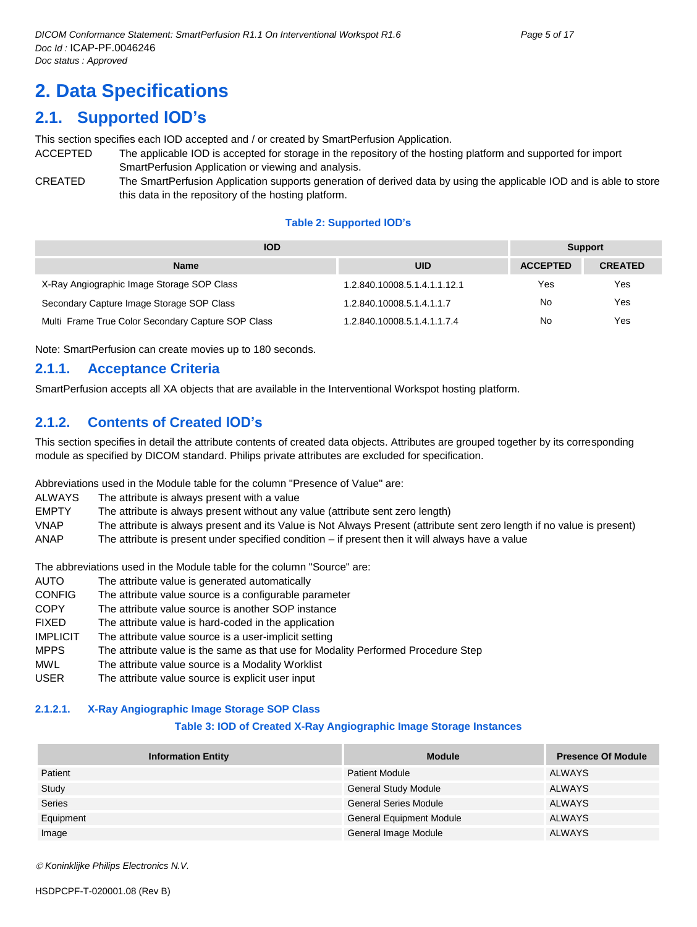# <span id="page-4-0"></span>**2. Data Specifications**

## <span id="page-4-1"></span>**2.1. Supported IOD's**

This section specifies each IOD accepted and / or created by SmartPerfusion Application.

- ACCEPTED The applicable IOD is accepted for storage in the repository of the hosting platform and supported for import SmartPerfusion Application or viewing and analysis.
- CREATED The SmartPerfusion Application supports generation of derived data by using the applicable IOD and is able to store this data in the repository of the hosting platform.

#### **Table 2: Supported IOD's**

| <b>IOD</b>                                         | <b>Support</b>               |                 |                |
|----------------------------------------------------|------------------------------|-----------------|----------------|
| <b>Name</b>                                        | UID                          | <b>ACCEPTED</b> | <b>CREATED</b> |
| X-Ray Angiographic Image Storage SOP Class         | 1.2.840.10008.5.1.4.1.1.12.1 | Yes             | Yes            |
| Secondary Capture Image Storage SOP Class          | 1.2.840.10008.5.1.4.1.1.7    | No              | Yes            |
| Multi Frame True Color Secondary Capture SOP Class | 1.2.840.10008.5.1.4.1.1.7.4  | No              | Yes            |

Note: SmartPerfusion can create movies up to 180 seconds.

### <span id="page-4-2"></span>**2.1.1. Acceptance Criteria**

SmartPerfusion accepts all XA objects that are available in the Interventional Workspot hosting platform.

## <span id="page-4-3"></span>**2.1.2. Contents of Created IOD's**

This section specifies in detail the attribute contents of created data objects. Attributes are grouped together by its corresponding module as specified by DICOM standard. Philips private attributes are excluded for specification.

Abbreviations used in the Module table for the column "Presence of Value" are:

ALWAYS The attribute is always present with a value

EMPTY The attribute is always present without any value (attribute sent zero length)

VNAP The attribute is always present and its Value is Not Always Present (attribute sent zero length if no value is present) ANAP The attribute is present under specified condition – if present then it will always have a value

The abbreviations used in the Module table for the column "Source" are:

- AUTO The attribute value is generated automatically
- CONFIG The attribute value source is a configurable parameter
- COPY The attribute value source is another SOP instance
- FIXED The attribute value is hard-coded in the application
- IMPLICIT The attribute value source is a user-implicit setting
- MPPS The attribute value is the same as that use for Modality Performed Procedure Step
- MWL The attribute value source is a Modality Worklist
- USER The attribute value source is explicit user input

#### <span id="page-4-4"></span>**2.1.2.1. X-Ray Angiographic Image Storage SOP Class**

#### **Table 3: IOD of Created X-Ray Angiographic Image Storage Instances**

| <b>Information Entity</b> | <b>Module</b>                   | <b>Presence Of Module</b> |
|---------------------------|---------------------------------|---------------------------|
| Patient                   | <b>Patient Module</b>           | <b>ALWAYS</b>             |
| Study                     | <b>General Study Module</b>     | <b>ALWAYS</b>             |
| <b>Series</b>             | <b>General Series Module</b>    | <b>ALWAYS</b>             |
| Equipment                 | <b>General Equipment Module</b> | <b>ALWAYS</b>             |
| Image                     | General Image Module            | <b>ALWAYS</b>             |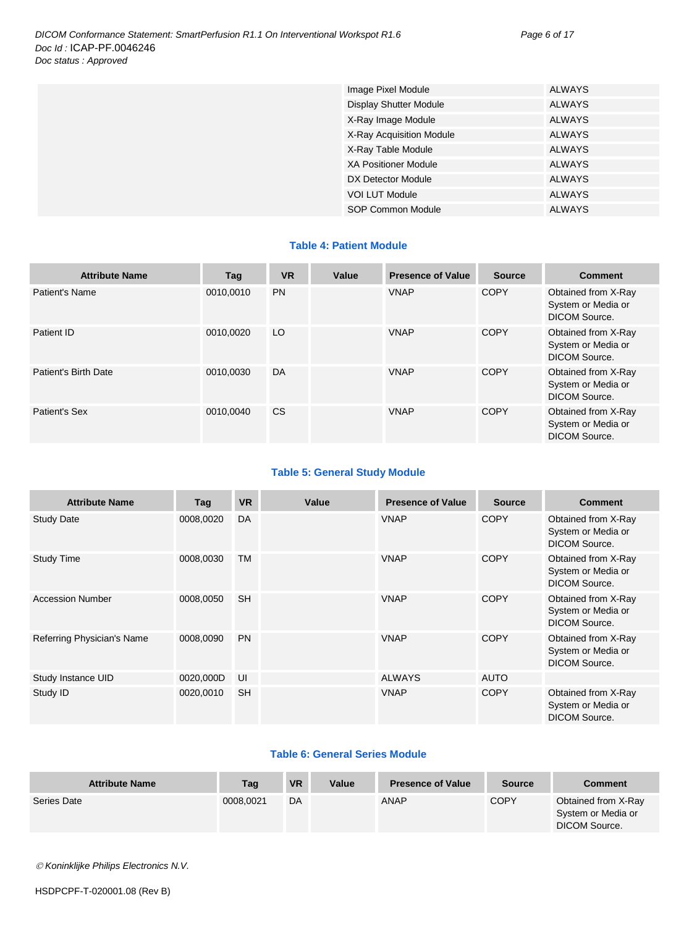| Image Pixel Module            | <b>ALWAYS</b> |
|-------------------------------|---------------|
| <b>Display Shutter Module</b> | <b>ALWAYS</b> |
| X-Ray Image Module            | <b>ALWAYS</b> |
| X-Ray Acquisition Module      | <b>ALWAYS</b> |
| X-Ray Table Module            | <b>ALWAYS</b> |
| <b>XA Positioner Module</b>   | <b>ALWAYS</b> |
| DX Detector Module            | <b>ALWAYS</b> |
| <b>VOI LUT Module</b>         | <b>ALWAYS</b> |
| SOP Common Module             | <b>ALWAYS</b> |

#### **Table 4: Patient Module**

| <b>Attribute Name</b> | Tag       | <b>VR</b> | Value | <b>Presence of Value</b> | <b>Source</b> | <b>Comment</b>                                             |
|-----------------------|-----------|-----------|-------|--------------------------|---------------|------------------------------------------------------------|
| Patient's Name        | 0010.0010 | <b>PN</b> |       | <b>VNAP</b>              | <b>COPY</b>   | Obtained from X-Ray<br>System or Media or<br>DICOM Source. |
| Patient ID            | 0010.0020 | LO        |       | <b>VNAP</b>              | <b>COPY</b>   | Obtained from X-Ray<br>System or Media or<br>DICOM Source. |
| Patient's Birth Date  | 0010.0030 | DA        |       | <b>VNAP</b>              | <b>COPY</b>   | Obtained from X-Ray<br>System or Media or<br>DICOM Source. |
| Patient's Sex         | 0010.0040 | <b>CS</b> |       | <b>VNAP</b>              | <b>COPY</b>   | Obtained from X-Ray<br>System or Media or<br>DICOM Source. |

#### **Table 5: General Study Module**

| <b>Attribute Name</b>      | Tag       | <b>VR</b> | Value | <b>Presence of Value</b> | <b>Source</b> | <b>Comment</b>                                                    |
|----------------------------|-----------|-----------|-------|--------------------------|---------------|-------------------------------------------------------------------|
| <b>Study Date</b>          | 0008,0020 | <b>DA</b> |       | <b>VNAP</b>              | <b>COPY</b>   | Obtained from X-Ray<br>System or Media or<br>DICOM Source.        |
| <b>Study Time</b>          | 0008,0030 | <b>TM</b> |       | <b>VNAP</b>              | <b>COPY</b>   | Obtained from X-Ray<br>System or Media or<br>DICOM Source.        |
| <b>Accession Number</b>    | 0008,0050 | <b>SH</b> |       | <b>VNAP</b>              | <b>COPY</b>   | Obtained from X-Ray<br>System or Media or<br><b>DICOM Source.</b> |
| Referring Physician's Name | 0008,0090 | <b>PN</b> |       | <b>VNAP</b>              | <b>COPY</b>   | Obtained from X-Ray<br>System or Media or<br><b>DICOM Source.</b> |
| Study Instance UID         | 0020,000D | UI        |       | <b>ALWAYS</b>            | <b>AUTO</b>   |                                                                   |
| Study ID                   | 0020,0010 | <b>SH</b> |       | <b>VNAP</b>              | <b>COPY</b>   | Obtained from X-Ray<br>System or Media or<br><b>DICOM Source.</b> |

#### **Table 6: General Series Module**

| <b>Attribute Name</b> | Tag       | <b>VR</b> | Value | <b>Presence of Value</b> | <b>Source</b> | <b>Comment</b>                                             |
|-----------------------|-----------|-----------|-------|--------------------------|---------------|------------------------------------------------------------|
| Series Date           | 0008.0021 | DA        |       | ANAP                     | <b>COPY</b>   | Obtained from X-Ray<br>System or Media or<br>DICOM Source. |

*Koninklijke Philips Electronics N.V.*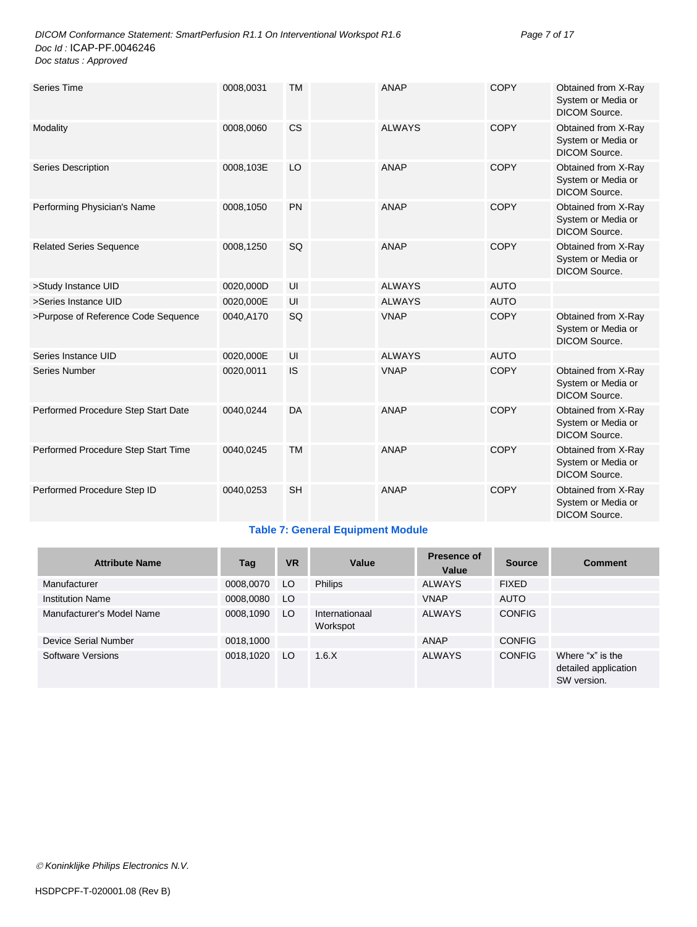| <b>Series Time</b>                  | 0008,0031 | <b>TM</b> | <b>ANAP</b>   | <b>COPY</b> | Obtained from X-Ray<br>System or Media or<br><b>DICOM Source.</b> |
|-------------------------------------|-----------|-----------|---------------|-------------|-------------------------------------------------------------------|
| Modality                            | 0008,0060 | <b>CS</b> | <b>ALWAYS</b> | <b>COPY</b> | Obtained from X-Ray<br>System or Media or<br>DICOM Source.        |
| Series Description                  | 0008,103E | LO        | <b>ANAP</b>   | <b>COPY</b> | Obtained from X-Ray<br>System or Media or<br><b>DICOM Source.</b> |
| Performing Physician's Name         | 0008,1050 | <b>PN</b> | <b>ANAP</b>   | <b>COPY</b> | Obtained from X-Ray<br>System or Media or<br><b>DICOM Source.</b> |
| <b>Related Series Sequence</b>      | 0008,1250 | SQ        | <b>ANAP</b>   | <b>COPY</b> | Obtained from X-Ray<br>System or Media or<br>DICOM Source.        |
| >Study Instance UID                 | 0020,000D | UI        | <b>ALWAYS</b> | <b>AUTO</b> |                                                                   |
| >Series Instance UID                | 0020,000E | UI        | <b>ALWAYS</b> | <b>AUTO</b> |                                                                   |
| >Purpose of Reference Code Sequence | 0040,A170 | SQ        | <b>VNAP</b>   | <b>COPY</b> | Obtained from X-Ray<br>System or Media or<br><b>DICOM Source.</b> |
| Series Instance UID                 | 0020,000E | UI        | <b>ALWAYS</b> | <b>AUTO</b> |                                                                   |
| <b>Series Number</b>                | 0020,0011 | IS        | <b>VNAP</b>   | <b>COPY</b> | Obtained from X-Ray<br>System or Media or<br><b>DICOM Source.</b> |
| Performed Procedure Step Start Date | 0040,0244 | <b>DA</b> | <b>ANAP</b>   | <b>COPY</b> | Obtained from X-Ray<br>System or Media or<br><b>DICOM Source.</b> |
| Performed Procedure Step Start Time | 0040,0245 | <b>TM</b> | <b>ANAP</b>   | <b>COPY</b> | Obtained from X-Ray<br>System or Media or<br>DICOM Source.        |
| Performed Procedure Step ID         | 0040,0253 | <b>SH</b> | <b>ANAP</b>   | <b>COPY</b> | Obtained from X-Ray<br>System or Media or<br>DICOM Source.        |

#### **Table 7: General Equipment Module**

| <b>Attribute Name</b>     | Tag       | <b>VR</b> | Value                      | Presence of<br>Value | <b>Source</b> | <b>Comment</b>                                          |
|---------------------------|-----------|-----------|----------------------------|----------------------|---------------|---------------------------------------------------------|
| Manufacturer              | 0008,0070 | LO.       | <b>Philips</b>             | <b>ALWAYS</b>        | <b>FIXED</b>  |                                                         |
| <b>Institution Name</b>   | 0008,0080 | LO        |                            | <b>VNAP</b>          | <b>AUTO</b>   |                                                         |
| Manufacturer's Model Name | 0008,1090 | LO.       | Internationaal<br>Workspot | <b>ALWAYS</b>        | <b>CONFIG</b> |                                                         |
| Device Serial Number      | 0018,1000 |           |                            | ANAP                 | <b>CONFIG</b> |                                                         |
| Software Versions         | 0018,1020 | LO.       | 1.6.X                      | <b>ALWAYS</b>        | <b>CONFIG</b> | Where "x" is the<br>detailed application<br>SW version. |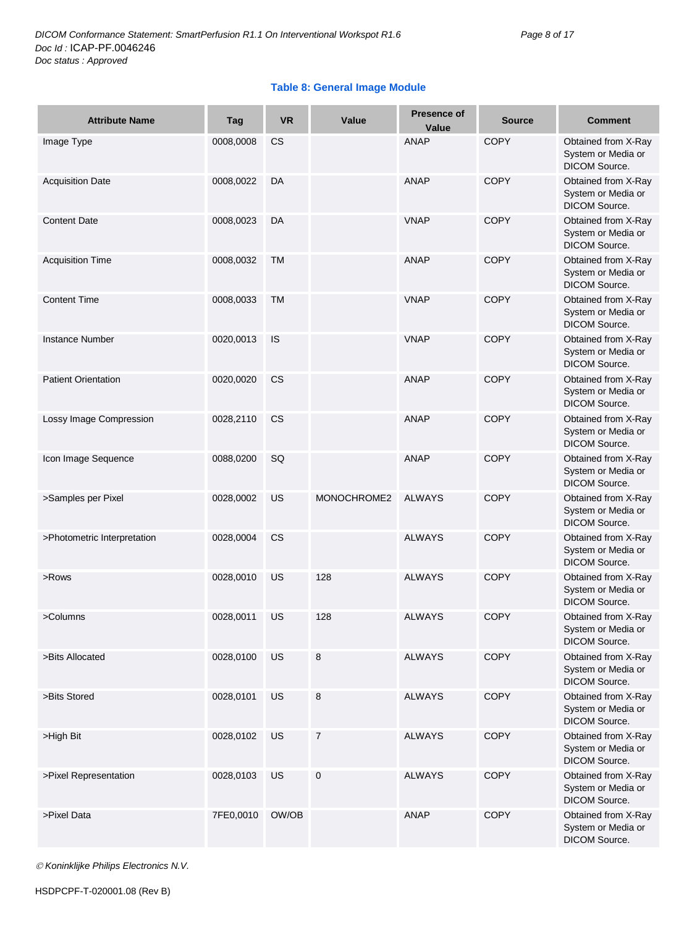#### **Table 8: General Image Module**

| <b>Attribute Name</b>       | Tag       | <b>VR</b> | Value       | <b>Presence of</b><br>Value | <b>Source</b> | <b>Comment</b>                                                    |
|-----------------------------|-----------|-----------|-------------|-----------------------------|---------------|-------------------------------------------------------------------|
| Image Type                  | 0008,0008 | CS        |             | <b>ANAP</b>                 | <b>COPY</b>   | Obtained from X-Ray<br>System or Media or<br>DICOM Source.        |
| <b>Acquisition Date</b>     | 0008,0022 | DA        |             | <b>ANAP</b>                 | <b>COPY</b>   | Obtained from X-Ray<br>System or Media or<br>DICOM Source.        |
| <b>Content Date</b>         | 0008,0023 | DA        |             | <b>VNAP</b>                 | <b>COPY</b>   | Obtained from X-Ray<br>System or Media or<br>DICOM Source.        |
| <b>Acquisition Time</b>     | 0008,0032 | TM        |             | <b>ANAP</b>                 | <b>COPY</b>   | Obtained from X-Ray<br>System or Media or<br>DICOM Source.        |
| <b>Content Time</b>         | 0008,0033 | TM        |             | <b>VNAP</b>                 | <b>COPY</b>   | Obtained from X-Ray<br>System or Media or<br>DICOM Source.        |
| <b>Instance Number</b>      | 0020,0013 | IS        |             | <b>VNAP</b>                 | <b>COPY</b>   | Obtained from X-Ray<br>System or Media or<br>DICOM Source.        |
| <b>Patient Orientation</b>  | 0020,0020 | CS.       |             | <b>ANAP</b>                 | <b>COPY</b>   | Obtained from X-Ray<br>System or Media or<br><b>DICOM Source.</b> |
| Lossy Image Compression     | 0028,2110 | <b>CS</b> |             | <b>ANAP</b>                 | <b>COPY</b>   | Obtained from X-Ray<br>System or Media or<br>DICOM Source.        |
| Icon Image Sequence         | 0088,0200 | SQ        |             | <b>ANAP</b>                 | <b>COPY</b>   | Obtained from X-Ray<br>System or Media or<br>DICOM Source.        |
| >Samples per Pixel          | 0028,0002 | US        | MONOCHROME2 | <b>ALWAYS</b>               | <b>COPY</b>   | Obtained from X-Ray<br>System or Media or<br>DICOM Source.        |
| >Photometric Interpretation | 0028,0004 | CS.       |             | <b>ALWAYS</b>               | <b>COPY</b>   | Obtained from X-Ray<br>System or Media or<br>DICOM Source.        |
| >Rows                       | 0028,0010 | US        | 128         | <b>ALWAYS</b>               | <b>COPY</b>   | Obtained from X-Ray<br>System or Media or<br>DICOM Source.        |
| >Columns                    | 0028,0011 | US        | 128         | <b>ALWAYS</b>               | <b>COPY</b>   | Obtained from X-Ray<br>System or Media or<br>DICOM Source.        |
| >Bits Allocated             | 0028,0100 | US        | 8           | <b>ALWAYS</b>               | <b>COPY</b>   | Obtained from X-Ray<br>System or Media or<br>DICOM Source.        |
| >Bits Stored                | 0028,0101 | US        | 8           | <b>ALWAYS</b>               | COPY          | Obtained from X-Ray<br>System or Media or<br>DICOM Source.        |
| >High Bit                   | 0028,0102 | US        | 7           | <b>ALWAYS</b>               | <b>COPY</b>   | Obtained from X-Ray<br>System or Media or<br>DICOM Source.        |
| >Pixel Representation       | 0028,0103 | US        | 0           | <b>ALWAYS</b>               | <b>COPY</b>   | Obtained from X-Ray<br>System or Media or<br>DICOM Source.        |
| >Pixel Data                 | 7FE0,0010 | OW/OB     |             | <b>ANAP</b>                 | COPY          | Obtained from X-Ray<br>System or Media or<br>DICOM Source.        |

*Koninklijke Philips Electronics N.V.*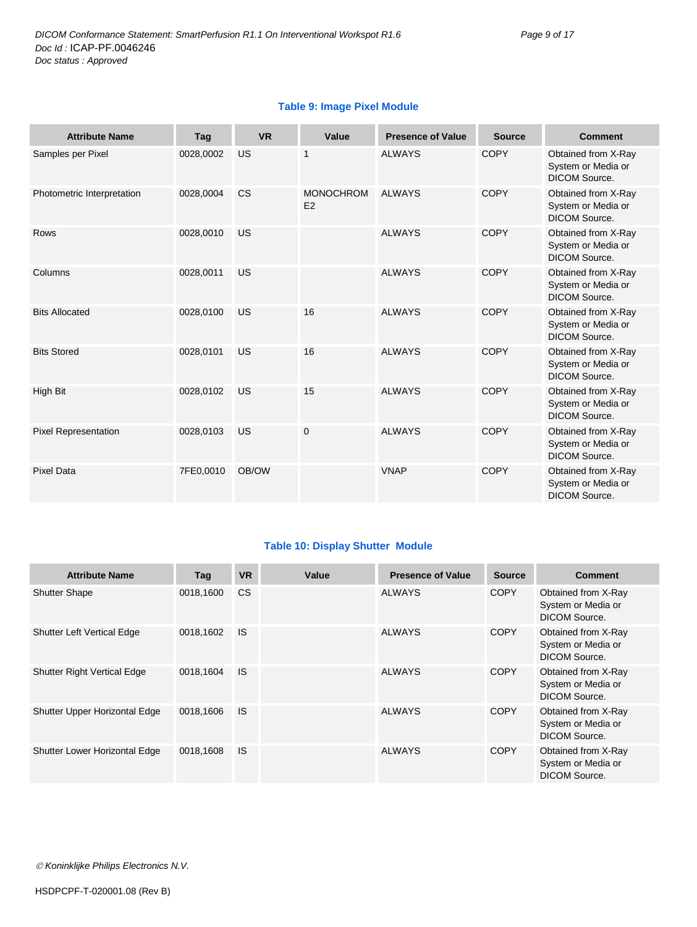| <b>Attribute Name</b>       | Tag       | <b>VR</b> | Value                  | <b>Presence of Value</b> | <b>Source</b> | <b>Comment</b>                                                    |
|-----------------------------|-----------|-----------|------------------------|--------------------------|---------------|-------------------------------------------------------------------|
| Samples per Pixel           | 0028,0002 | US        | 1                      | <b>ALWAYS</b>            | <b>COPY</b>   | Obtained from X-Ray<br>System or Media or<br><b>DICOM Source.</b> |
| Photometric Interpretation  | 0028,0004 | CS        | <b>MONOCHROM</b><br>E2 | <b>ALWAYS</b>            | <b>COPY</b>   | Obtained from X-Ray<br>System or Media or<br><b>DICOM Source.</b> |
| <b>Rows</b>                 | 0028,0010 | US        |                        | <b>ALWAYS</b>            | <b>COPY</b>   | Obtained from X-Ray<br>System or Media or<br><b>DICOM Source.</b> |
| Columns                     | 0028,0011 | US        |                        | <b>ALWAYS</b>            | <b>COPY</b>   | Obtained from X-Ray<br>System or Media or<br><b>DICOM Source.</b> |
| <b>Bits Allocated</b>       | 0028,0100 | US        | 16                     | <b>ALWAYS</b>            | <b>COPY</b>   | Obtained from X-Ray<br>System or Media or<br><b>DICOM Source.</b> |
| <b>Bits Stored</b>          | 0028,0101 | US        | 16                     | <b>ALWAYS</b>            | <b>COPY</b>   | Obtained from X-Ray<br>System or Media or<br><b>DICOM Source.</b> |
| High Bit                    | 0028,0102 | US        | 15                     | <b>ALWAYS</b>            | <b>COPY</b>   | Obtained from X-Ray<br>System or Media or<br><b>DICOM Source.</b> |
| <b>Pixel Representation</b> | 0028,0103 | US        | $\mathbf 0$            | <b>ALWAYS</b>            | <b>COPY</b>   | Obtained from X-Ray<br>System or Media or<br><b>DICOM Source.</b> |
| <b>Pixel Data</b>           | 7FE0,0010 | OB/OW     |                        | <b>VNAP</b>              | <b>COPY</b>   | Obtained from X-Ray<br>System or Media or<br><b>DICOM Source.</b> |

#### **Table 9: Image Pixel Module**

#### **Table 10: Display Shutter Module**

| <b>Attribute Name</b>              | Tag       | <b>VR</b> | Value | <b>Presence of Value</b> | <b>Source</b> | <b>Comment</b>                                                    |
|------------------------------------|-----------|-----------|-------|--------------------------|---------------|-------------------------------------------------------------------|
| <b>Shutter Shape</b>               | 0018.1600 | <b>CS</b> |       | <b>ALWAYS</b>            | <b>COPY</b>   | Obtained from X-Ray<br>System or Media or<br><b>DICOM Source.</b> |
| <b>Shutter Left Vertical Edge</b>  | 0018,1602 | <b>IS</b> |       | <b>ALWAYS</b>            | <b>COPY</b>   | Obtained from X-Ray<br>System or Media or<br>DICOM Source.        |
| <b>Shutter Right Vertical Edge</b> | 0018,1604 | <b>IS</b> |       | <b>ALWAYS</b>            | <b>COPY</b>   | Obtained from X-Ray<br>System or Media or<br>DICOM Source.        |
| Shutter Upper Horizontal Edge      | 0018,1606 | <b>IS</b> |       | <b>ALWAYS</b>            | <b>COPY</b>   | Obtained from X-Ray<br>System or Media or<br>DICOM Source.        |
| Shutter Lower Horizontal Edge      | 0018,1608 | <b>IS</b> |       | <b>ALWAYS</b>            | <b>COPY</b>   | Obtained from X-Ray<br>System or Media or<br>DICOM Source.        |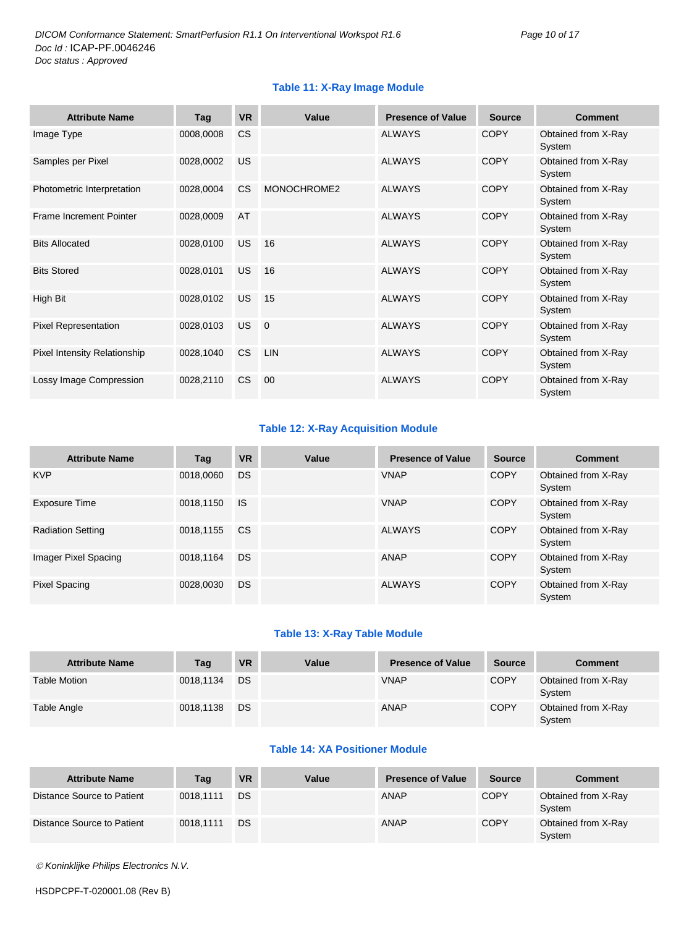#### **Table 11: X-Ray Image Module**

| <b>Attribute Name</b>               | Tag       | <b>VR</b> | Value       | <b>Presence of Value</b> | <b>Source</b> | <b>Comment</b>                |
|-------------------------------------|-----------|-----------|-------------|--------------------------|---------------|-------------------------------|
| Image Type                          | 0008,0008 | <b>CS</b> |             | <b>ALWAYS</b>            | <b>COPY</b>   | Obtained from X-Ray<br>System |
| Samples per Pixel                   | 0028,0002 | US        |             | <b>ALWAYS</b>            | <b>COPY</b>   | Obtained from X-Ray<br>System |
| Photometric Interpretation          | 0028,0004 | <b>CS</b> | MONOCHROME2 | <b>ALWAYS</b>            | <b>COPY</b>   | Obtained from X-Ray<br>System |
| <b>Frame Increment Pointer</b>      | 0028,0009 | AT        |             | <b>ALWAYS</b>            | <b>COPY</b>   | Obtained from X-Ray<br>System |
| <b>Bits Allocated</b>               | 0028,0100 | US        | 16          | <b>ALWAYS</b>            | <b>COPY</b>   | Obtained from X-Ray<br>System |
| <b>Bits Stored</b>                  | 0028,0101 | US        | 16          | <b>ALWAYS</b>            | <b>COPY</b>   | Obtained from X-Ray<br>System |
| High Bit                            | 0028,0102 | <b>US</b> | 15          | <b>ALWAYS</b>            | <b>COPY</b>   | Obtained from X-Ray<br>System |
| <b>Pixel Representation</b>         | 0028,0103 | US        | $\Omega$    | <b>ALWAYS</b>            | <b>COPY</b>   | Obtained from X-Ray<br>System |
| <b>Pixel Intensity Relationship</b> | 0028,1040 | <b>CS</b> | <b>LIN</b>  | <b>ALWAYS</b>            | <b>COPY</b>   | Obtained from X-Ray<br>System |
| Lossy Image Compression             | 0028,2110 | <b>CS</b> | 00          | <b>ALWAYS</b>            | <b>COPY</b>   | Obtained from X-Ray<br>System |

#### **Table 12: X-Ray Acquisition Module**

| <b>Attribute Name</b>    | Tag       | <b>VR</b> | Value | <b>Presence of Value</b> | <b>Source</b> | <b>Comment</b>                |
|--------------------------|-----------|-----------|-------|--------------------------|---------------|-------------------------------|
| <b>KVP</b>               | 0018,0060 | DS        |       | <b>VNAP</b>              | <b>COPY</b>   | Obtained from X-Ray<br>System |
| <b>Exposure Time</b>     | 0018,1150 | <b>IS</b> |       | <b>VNAP</b>              | <b>COPY</b>   | Obtained from X-Ray<br>System |
| <b>Radiation Setting</b> | 0018,1155 | <b>CS</b> |       | <b>ALWAYS</b>            | <b>COPY</b>   | Obtained from X-Ray<br>System |
| Imager Pixel Spacing     | 0018,1164 | DS.       |       | <b>ANAP</b>              | <b>COPY</b>   | Obtained from X-Ray<br>System |
| Pixel Spacing            | 0028.0030 | DS        |       | <b>ALWAYS</b>            | <b>COPY</b>   | Obtained from X-Ray<br>System |

#### **Table 13: X-Ray Table Module**

| <b>Attribute Name</b> | Tag       | <b>VR</b> | Value | <b>Presence of Value</b> | Source      | <b>Comment</b>                |
|-----------------------|-----------|-----------|-------|--------------------------|-------------|-------------------------------|
| Table Motion          | 0018,1134 | DS        |       | <b>VNAP</b>              | <b>COPY</b> | Obtained from X-Ray<br>System |
| Table Angle           | 0018,1138 | <b>DS</b> |       | <b>ANAP</b>              | <b>COPY</b> | Obtained from X-Ray<br>System |

#### **Table 14: XA Positioner Module**

| <b>Attribute Name</b>      | Tag       | <b>VR</b> | Value | <b>Presence of Value</b> | <b>Source</b> | <b>Comment</b>                |
|----------------------------|-----------|-----------|-------|--------------------------|---------------|-------------------------------|
| Distance Source to Patient | 0018.1111 | <b>DS</b> |       | ANAP                     | <b>COPY</b>   | Obtained from X-Ray<br>System |
| Distance Source to Patient | 0018.1111 | <b>DS</b> |       | ANAP                     | <b>COPY</b>   | Obtained from X-Ray<br>System |

*Koninklijke Philips Electronics N.V.*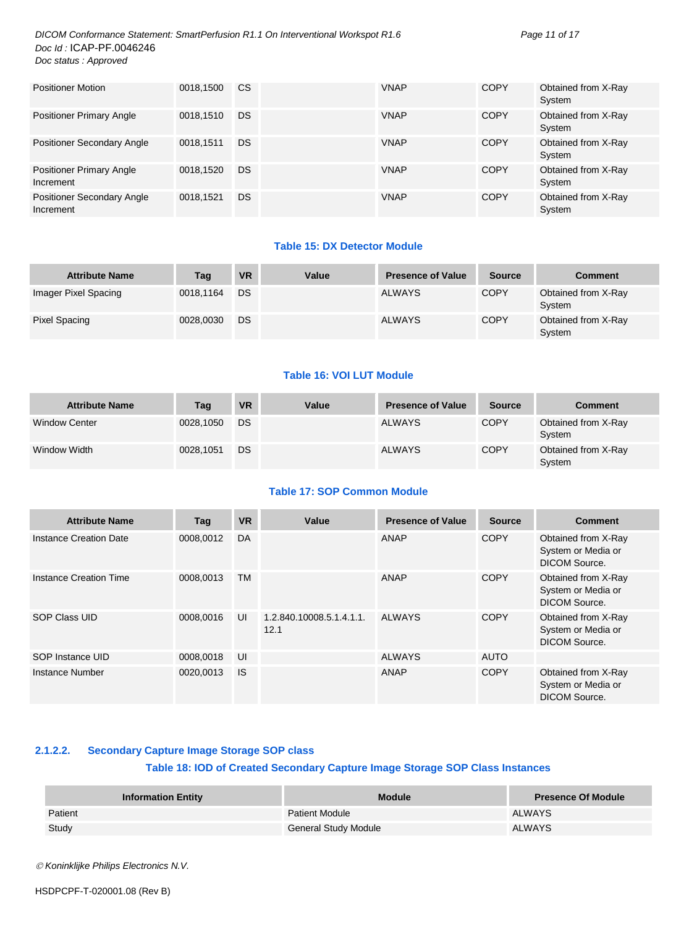*DICOM Conformance Statement: SmartPerfusion R1.1 On Interventional Workspot R1.6 Page 11 of 17 Doc Id :* ICAP-PF.0046246 *Doc status : Approved*

| <b>Positioner Motion</b>                       | 0018,1500 | <sub>CS</sub> | <b>VNAP</b> | <b>COPY</b> | Obtained from X-Ray<br>System |
|------------------------------------------------|-----------|---------------|-------------|-------------|-------------------------------|
| <b>Positioner Primary Angle</b>                | 0018,1510 | <b>DS</b>     | <b>VNAP</b> | <b>COPY</b> | Obtained from X-Ray<br>System |
| <b>Positioner Secondary Angle</b>              | 0018.1511 | <b>DS</b>     | <b>VNAP</b> | <b>COPY</b> | Obtained from X-Ray<br>System |
| <b>Positioner Primary Angle</b><br>Increment   | 0018,1520 | <b>DS</b>     | <b>VNAP</b> | <b>COPY</b> | Obtained from X-Ray<br>System |
| <b>Positioner Secondary Angle</b><br>Increment | 0018.1521 | <b>DS</b>     | <b>VNAP</b> | <b>COPY</b> | Obtained from X-Ray<br>System |

#### **Table 15: DX Detector Module**

| <b>Attribute Name</b> | Taq       | <b>VR</b> | Value | <b>Presence of Value</b> | <b>Source</b> | <b>Comment</b>                |
|-----------------------|-----------|-----------|-------|--------------------------|---------------|-------------------------------|
| Imager Pixel Spacing  | 0018.1164 | DS        |       | ALWAYS                   | <b>COPY</b>   | Obtained from X-Ray<br>System |
| Pixel Spacing         | 0028.0030 | DS        |       | ALWAYS                   | <b>COPY</b>   | Obtained from X-Ray<br>System |

#### **Table 16: VOI LUT Module**

| <b>Attribute Name</b> | Tag       | <b>VR</b> | Value | <b>Presence of Value</b> | Source      | <b>Comment</b>                |
|-----------------------|-----------|-----------|-------|--------------------------|-------------|-------------------------------|
| <b>Window Center</b>  | 0028.1050 | DS        |       | <b>ALWAYS</b>            | <b>COPY</b> | Obtained from X-Ray<br>System |
| Window Width          | 0028.1051 | DS        |       | <b>ALWAYS</b>            | <b>COPY</b> | Obtained from X-Ray<br>System |

#### **Table 17: SOP Common Module**

| <b>Attribute Name</b>  | Tag       | <b>VR</b> | Value                            | <b>Presence of Value</b> | <b>Source</b> | <b>Comment</b>                                                    |
|------------------------|-----------|-----------|----------------------------------|--------------------------|---------------|-------------------------------------------------------------------|
| Instance Creation Date | 0008.0012 | <b>DA</b> |                                  | ANAP                     | <b>COPY</b>   | Obtained from X-Ray<br>System or Media or<br>DICOM Source.        |
| Instance Creation Time | 0008.0013 | <b>TM</b> |                                  | ANAP                     | <b>COPY</b>   | Obtained from X-Ray<br>System or Media or<br>DICOM Source.        |
| SOP Class UID          | 0008,0016 | UI        | 1.2.840.10008.5.1.4.1.1.<br>12.1 | <b>ALWAYS</b>            | <b>COPY</b>   | Obtained from X-Ray<br>System or Media or<br><b>DICOM Source.</b> |
| SOP Instance UID       | 0008,0018 | UI        |                                  | <b>ALWAYS</b>            | <b>AUTO</b>   |                                                                   |
| Instance Number        | 0020,0013 | 1S        |                                  | ANAP                     | <b>COPY</b>   | Obtained from X-Ray<br>System or Media or<br><b>DICOM Source.</b> |

#### <span id="page-10-0"></span>**2.1.2.2. Secondary Capture Image Storage SOP class**

#### **Table 18: IOD of Created Secondary Capture Image Storage SOP Class Instances**

| <b>Information Entity</b> | <b>Module</b>               | <b>Presence Of Module</b> |
|---------------------------|-----------------------------|---------------------------|
| Patient                   | <b>Patient Module</b>       | <b>ALWAYS</b>             |
| Study                     | <b>General Study Module</b> | <b>ALWAYS</b>             |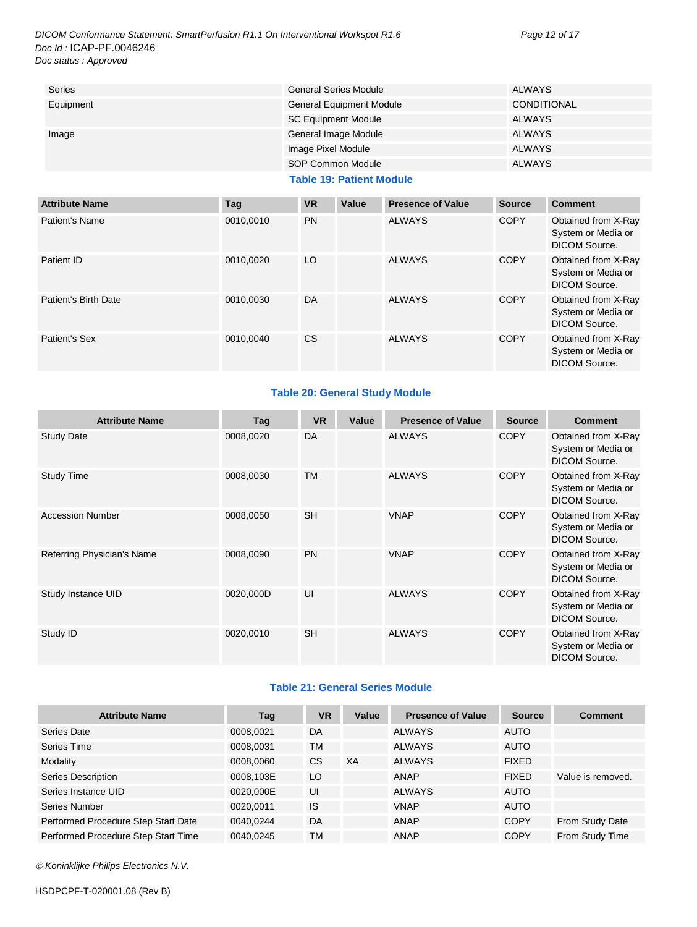*DICOM Conformance Statement: SmartPerfusion R1.1 On Interventional Workspot R1.6 Page 12 of 17 Doc Id :* ICAP-PF.0046246 *Doc status : Approved*

| <b>Series</b> | <b>General Series Module</b>    | <b>ALWAYS</b>      |
|---------------|---------------------------------|--------------------|
| Equipment     | <b>General Equipment Module</b> | <b>CONDITIONAL</b> |
|               | <b>SC Equipment Module</b>      | ALWAYS             |
| Image         | General Image Module            | ALWAYS             |
|               | Image Pixel Module              | ALWAYS             |
|               | SOP Common Module               | <b>ALWAYS</b>      |

#### **Table 19: Patient Module**

| <b>Attribute Name</b> | Tag       | <b>VR</b> | Value | <b>Presence of Value</b> | <b>Source</b> | <b>Comment</b>                                                    |
|-----------------------|-----------|-----------|-------|--------------------------|---------------|-------------------------------------------------------------------|
| Patient's Name        | 0010.0010 | <b>PN</b> |       | <b>ALWAYS</b>            | <b>COPY</b>   | Obtained from X-Ray<br>System or Media or<br>DICOM Source.        |
| Patient ID            | 0010.0020 | LO        |       | <b>ALWAYS</b>            | <b>COPY</b>   | Obtained from X-Ray<br>System or Media or<br><b>DICOM Source.</b> |
| Patient's Birth Date  | 0010.0030 | <b>DA</b> |       | <b>ALWAYS</b>            | <b>COPY</b>   | Obtained from X-Ray<br>System or Media or<br>DICOM Source.        |
| Patient's Sex         | 0010.0040 | CS.       |       | <b>ALWAYS</b>            | <b>COPY</b>   | Obtained from X-Ray<br>System or Media or<br><b>DICOM Source.</b> |

#### **Table 20: General Study Module**

| <b>Attribute Name</b>      | Tag       | <b>VR</b> | Value | <b>Presence of Value</b> | <b>Source</b> | <b>Comment</b>                                                    |
|----------------------------|-----------|-----------|-------|--------------------------|---------------|-------------------------------------------------------------------|
| <b>Study Date</b>          | 0008,0020 | DA        |       | <b>ALWAYS</b>            | <b>COPY</b>   | Obtained from X-Ray<br>System or Media or<br><b>DICOM Source.</b> |
| <b>Study Time</b>          | 0008,0030 | <b>TM</b> |       | <b>ALWAYS</b>            | <b>COPY</b>   | Obtained from X-Ray<br>System or Media or<br><b>DICOM Source.</b> |
| <b>Accession Number</b>    | 0008,0050 | <b>SH</b> |       | <b>VNAP</b>              | <b>COPY</b>   | Obtained from X-Ray<br>System or Media or<br>DICOM Source.        |
| Referring Physician's Name | 0008,0090 | <b>PN</b> |       | <b>VNAP</b>              | <b>COPY</b>   | Obtained from X-Ray<br>System or Media or<br><b>DICOM Source.</b> |
| Study Instance UID         | 0020,000D | UI        |       | <b>ALWAYS</b>            | <b>COPY</b>   | Obtained from X-Ray<br>System or Media or<br><b>DICOM Source.</b> |
| Study ID                   | 0020,0010 | <b>SH</b> |       | <b>ALWAYS</b>            | <b>COPY</b>   | Obtained from X-Ray<br>System or Media or<br><b>DICOM Source.</b> |

#### **Table 21: General Series Module**

| <b>Attribute Name</b>               | Tag       | <b>VR</b> | Value | <b>Presence of Value</b> | <b>Source</b> | <b>Comment</b>    |
|-------------------------------------|-----------|-----------|-------|--------------------------|---------------|-------------------|
| Series Date                         | 0008.0021 | DA        |       | <b>ALWAYS</b>            | <b>AUTO</b>   |                   |
| Series Time                         | 0008,0031 | ТM        |       | <b>ALWAYS</b>            | <b>AUTO</b>   |                   |
| Modality                            | 0008,0060 | <b>CS</b> | XA    | <b>ALWAYS</b>            | <b>FIXED</b>  |                   |
| Series Description                  | 0008.103E | LO        |       | ANAP                     | <b>FIXED</b>  | Value is removed. |
| Series Instance UID                 | 0020,000E | UI        |       | <b>ALWAYS</b>            | <b>AUTO</b>   |                   |
| Series Number                       | 0020.0011 | IS        |       | <b>VNAP</b>              | <b>AUTO</b>   |                   |
| Performed Procedure Step Start Date | 0040.0244 | DA        |       | ANAP                     | <b>COPY</b>   | From Study Date   |
| Performed Procedure Step Start Time | 0040.0245 | TM        |       | <b>ANAP</b>              | <b>COPY</b>   | From Study Time   |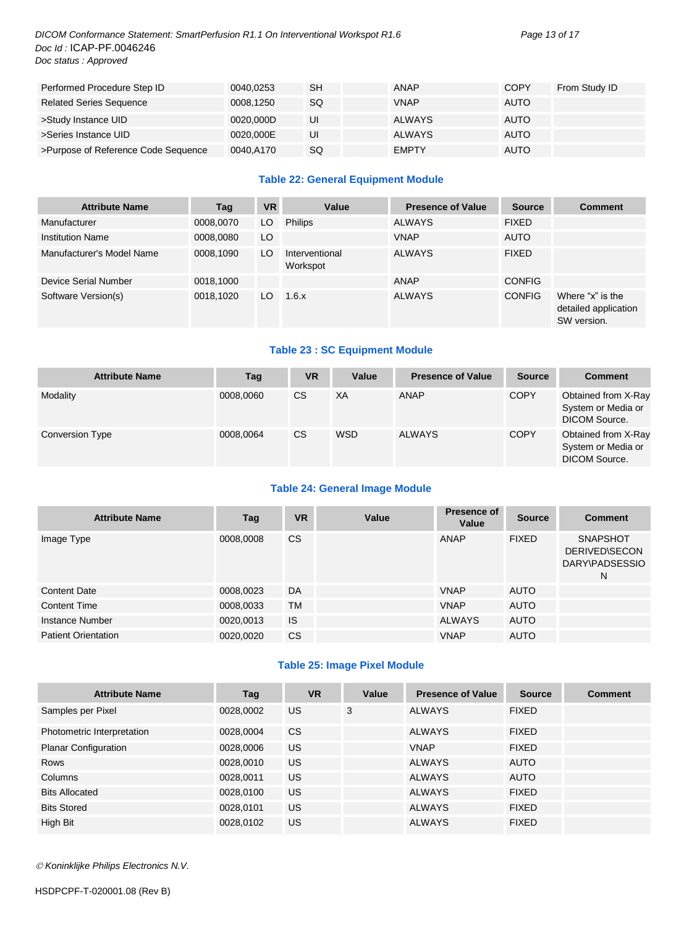#### *DICOM Conformance Statement: SmartPerfusion R1.1 On Interventional Workspot R1.6 Page 13 of 17 Doc Id :* ICAP-PF.0046246 *Doc status : Approved*

| Performed Procedure Step ID         | 0040.0253 | <b>SH</b> | <b>ANAP</b>   | <b>COPY</b> | From Study ID |
|-------------------------------------|-----------|-----------|---------------|-------------|---------------|
| <b>Related Series Sequence</b>      | 0008.1250 | SQ        | <b>VNAP</b>   | <b>AUTO</b> |               |
| >Study Instance UID                 | 0020.000D | UI        | <b>ALWAYS</b> | <b>AUTO</b> |               |
| >Series Instance UID                | 0020.000E | UI        | <b>ALWAYS</b> | <b>AUTO</b> |               |
| >Purpose of Reference Code Sequence | 0040,A170 | SQ        | <b>EMPTY</b>  | <b>AUTO</b> |               |

#### **Table 22: General Equipment Module**

| <b>Attribute Name</b>     | Tag       | <b>VR</b> | Value                      | <b>Presence of Value</b> | <b>Source</b> | <b>Comment</b>                                          |
|---------------------------|-----------|-----------|----------------------------|--------------------------|---------------|---------------------------------------------------------|
| Manufacturer              | 0008,0070 | LO        | <b>Philips</b>             | <b>ALWAYS</b>            | <b>FIXED</b>  |                                                         |
| <b>Institution Name</b>   | 0008,0080 | LO.       |                            | <b>VNAP</b>              | <b>AUTO</b>   |                                                         |
| Manufacturer's Model Name | 0008,1090 | LO        | Interventional<br>Workspot | <b>ALWAYS</b>            | <b>FIXED</b>  |                                                         |
| Device Serial Number      | 0018,1000 |           |                            | <b>ANAP</b>              | <b>CONFIG</b> |                                                         |
| Software Version(s)       | 0018.1020 | LO.       | 1.6.x                      | <b>ALWAYS</b>            | <b>CONFIG</b> | Where "x" is the<br>detailed application<br>SW version. |

#### **Table 23 : SC Equipment Module**

| <b>Attribute Name</b> | Tag       | <b>VR</b> | Value      | <b>Presence of Value</b> | <b>Source</b> | <b>Comment</b>                                             |
|-----------------------|-----------|-----------|------------|--------------------------|---------------|------------------------------------------------------------|
| Modality              | 0008.0060 | <b>CS</b> | ХA         | ANAP                     | <b>COPY</b>   | Obtained from X-Ray<br>System or Media or<br>DICOM Source. |
| Conversion Type       | 0008,0064 | <b>CS</b> | <b>WSD</b> | <b>ALWAYS</b>            | <b>COPY</b>   | Obtained from X-Ray<br>System or Media or<br>DICOM Source. |

#### **Table 24: General Image Module**

| <b>Attribute Name</b>      | Tag       | <b>VR</b> | Value | <b>Presence of</b><br>Value | <b>Source</b> | <b>Comment</b>                                                 |
|----------------------------|-----------|-----------|-------|-----------------------------|---------------|----------------------------------------------------------------|
| Image Type                 | 0008,0008 | <b>CS</b> |       | ANAP                        | <b>FIXED</b>  | <b>SNAPSHOT</b><br><b>DERIVED\SECON</b><br>DARY\PADSESSIO<br>N |
| <b>Content Date</b>        | 0008,0023 | DA        |       | <b>VNAP</b>                 | <b>AUTO</b>   |                                                                |
| <b>Content Time</b>        | 0008,0033 | <b>TM</b> |       | <b>VNAP</b>                 | <b>AUTO</b>   |                                                                |
| Instance Number            | 0020,0013 | <b>IS</b> |       | <b>ALWAYS</b>               | <b>AUTO</b>   |                                                                |
| <b>Patient Orientation</b> | 0020,0020 | <b>CS</b> |       | <b>VNAP</b>                 | <b>AUTO</b>   |                                                                |

#### **Table 25: Image Pixel Module**

| <b>Attribute Name</b>       | Tag       | <b>VR</b> | Value | <b>Presence of Value</b> | <b>Source</b> | <b>Comment</b> |
|-----------------------------|-----------|-----------|-------|--------------------------|---------------|----------------|
| Samples per Pixel           | 0028,0002 | <b>US</b> | 3     | <b>ALWAYS</b>            | <b>FIXED</b>  |                |
| Photometric Interpretation  | 0028.0004 | <b>CS</b> |       | <b>ALWAYS</b>            | <b>FIXED</b>  |                |
| <b>Planar Configuration</b> | 0028,0006 | US.       |       | <b>VNAP</b>              | <b>FIXED</b>  |                |
| <b>Rows</b>                 | 0028,0010 | <b>US</b> |       | <b>ALWAYS</b>            | <b>AUTO</b>   |                |
| Columns                     | 0028,0011 | <b>US</b> |       | <b>ALWAYS</b>            | <b>AUTO</b>   |                |
| <b>Bits Allocated</b>       | 0028,0100 | US.       |       | <b>ALWAYS</b>            | <b>FIXED</b>  |                |
| <b>Bits Stored</b>          | 0028,0101 | <b>US</b> |       | <b>ALWAYS</b>            | <b>FIXED</b>  |                |
| High Bit                    | 0028,0102 | US.       |       | <b>ALWAYS</b>            | <b>FIXED</b>  |                |

*Koninklijke Philips Electronics N.V.*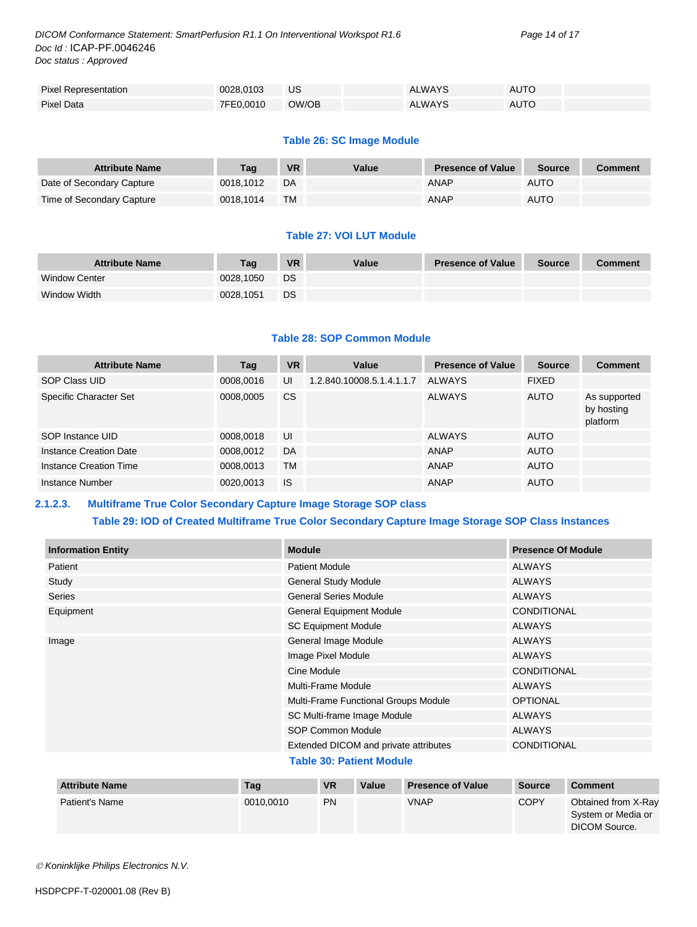*DICOM Conformance Statement: SmartPerfusion R1.1 On Interventional Workspot R1.6 Page 14 of 17 Doc Id :* ICAP-PF.0046246 *Doc status : Approved*

| <b>Pixel Representation</b> | 0028.0103 | US    | <b>ALWAYS</b> | AUTO |
|-----------------------------|-----------|-------|---------------|------|
| Pixel Data                  | 7FE0.0010 | OW/OB | <b>ALWAYS</b> | AUTO |

#### **Table 26: SC Image Module**

| <b>Attribute Name</b>     | Taq       | <b>VR</b> | Value | <b>Presence of Value</b> | <b>Source</b> | Comment |
|---------------------------|-----------|-----------|-------|--------------------------|---------------|---------|
| Date of Secondary Capture | 0018.1012 | DA        |       | <b>ANAP</b>              | <b>AUTO</b>   |         |
| Time of Secondary Capture | 0018.1014 | <b>TM</b> |       | ANAP                     | <b>AUTO</b>   |         |

#### **Table 27: VOI LUT Module**

| <b>Attribute Name</b> | Taɑ       | <b>VR</b> | Value | <b>Presence of Value</b> | Source | <b>Comment</b> |
|-----------------------|-----------|-----------|-------|--------------------------|--------|----------------|
| <b>Window Center</b>  | 0028.1050 | DS        |       |                          |        |                |
| Window Width          | 0028.1051 | DS        |       |                          |        |                |

#### **Table 28: SOP Common Module**

| <b>Attribute Name</b>  | Tag       | <b>VR</b> | Value                     | <b>Presence of Value</b> | <b>Source</b> | <b>Comment</b>                         |
|------------------------|-----------|-----------|---------------------------|--------------------------|---------------|----------------------------------------|
| SOP Class UID          | 0008,0016 | UI        | 1.2.840.10008.5.1.4.1.1.7 | <b>ALWAYS</b>            | <b>FIXED</b>  |                                        |
| Specific Character Set | 0008,0005 | CS        |                           | <b>ALWAYS</b>            | <b>AUTO</b>   | As supported<br>by hosting<br>platform |
| SOP Instance UID       | 0008,0018 | UI        |                           | <b>ALWAYS</b>            | <b>AUTO</b>   |                                        |
| Instance Creation Date | 0008,0012 | DA        |                           | <b>ANAP</b>              | <b>AUTO</b>   |                                        |
| Instance Creation Time | 0008,0013 | TM        |                           | ANAP                     | <b>AUTO</b>   |                                        |
| Instance Number        | 0020,0013 | <b>IS</b> |                           | ANAP                     | <b>AUTO</b>   |                                        |

#### <span id="page-13-0"></span>**2.1.2.3. Multiframe True Color Secondary Capture Image Storage SOP class**

#### **Table 29: IOD of Created Multiframe True Color Secondary Capture Image Storage SOP Class Instances**

| <b>Information Entity</b> | <b>Module</b>                         | <b>Presence Of Module</b> |
|---------------------------|---------------------------------------|---------------------------|
| Patient                   | <b>Patient Module</b>                 | ALWAYS                    |
| Study                     | <b>General Study Module</b>           | <b>ALWAYS</b>             |
| Series                    | <b>General Series Module</b>          | <b>ALWAYS</b>             |
| Equipment                 | <b>General Equipment Module</b>       | <b>CONDITIONAL</b>        |
|                           | <b>SC Equipment Module</b>            | <b>ALWAYS</b>             |
| Image                     | General Image Module                  | <b>ALWAYS</b>             |
|                           | Image Pixel Module                    | <b>ALWAYS</b>             |
|                           | Cine Module                           | <b>CONDITIONAL</b>        |
|                           | Multi-Frame Module                    | <b>ALWAYS</b>             |
|                           | Multi-Frame Functional Groups Module  | <b>OPTIONAL</b>           |
|                           | SC Multi-frame Image Module           | <b>ALWAYS</b>             |
|                           | <b>SOP Common Module</b>              | ALWAYS                    |
|                           | Extended DICOM and private attributes | <b>CONDITIONAL</b>        |
|                           | _ _ _ _ _                             |                           |

#### **Table 30: Patient Module**

| <b>Attribute Name</b> | Tag       | <b>VR</b> | Value | <b>Presence of Value</b> | <b>Source</b> | Comment                                                    |
|-----------------------|-----------|-----------|-------|--------------------------|---------------|------------------------------------------------------------|
| Patient's Name        | 0010.0010 | <b>PN</b> |       | <b>VNAP</b>              | <b>COPY</b>   | Obtained from X-Ray<br>System or Media or<br>DICOM Source. |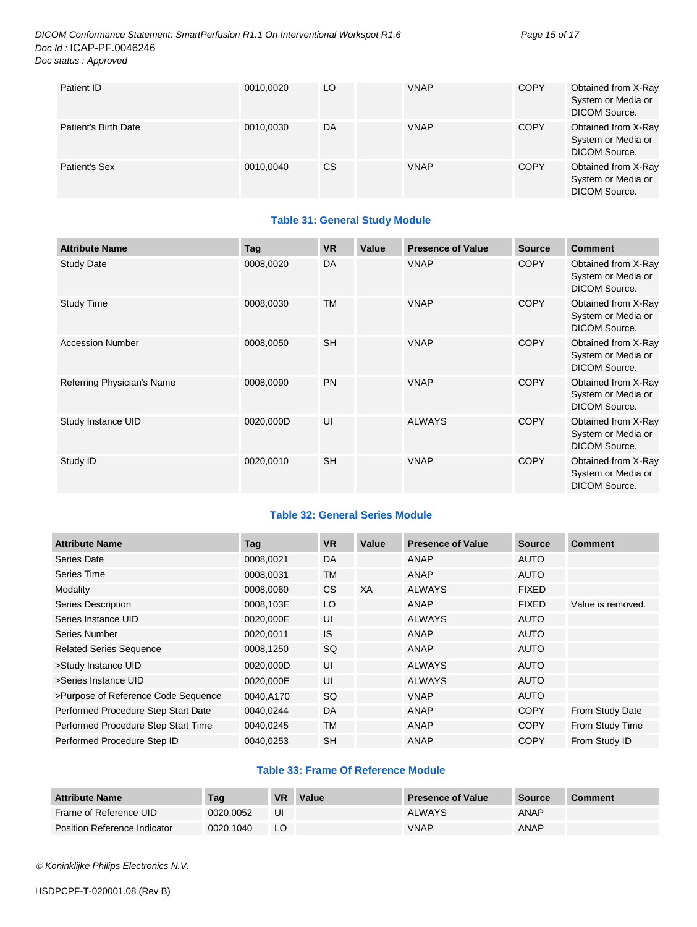#### *DICOM Conformance Statement: SmartPerfusion R1.1 On Interventional Workspot R1.6 Page 15 of 17 Doc Id :* ICAP-PF.0046246 *Doc status : Approved*

| Patient ID           | 0010,0020 | LO  | <b>VNAP</b> | <b>COPY</b> | Obtained from X-Ray<br>System or Media or<br>DICOM Source. |
|----------------------|-----------|-----|-------------|-------------|------------------------------------------------------------|
| Patient's Birth Date | 0010,0030 | DA  | <b>VNAP</b> | <b>COPY</b> | Obtained from X-Ray<br>System or Media or<br>DICOM Source. |
| Patient's Sex        | 0010,0040 | CS. | <b>VNAP</b> | <b>COPY</b> | Obtained from X-Ray<br>System or Media or<br>DICOM Source. |

#### **Table 31: General Study Module**

| <b>Attribute Name</b>      | Tag       | <b>VR</b> | Value | <b>Presence of Value</b> | <b>Source</b> | <b>Comment</b>                                                    |
|----------------------------|-----------|-----------|-------|--------------------------|---------------|-------------------------------------------------------------------|
| <b>Study Date</b>          | 0008,0020 | DA        |       | <b>VNAP</b>              | <b>COPY</b>   | Obtained from X-Ray<br>System or Media or<br>DICOM Source.        |
| <b>Study Time</b>          | 0008,0030 | <b>TM</b> |       | <b>VNAP</b>              | <b>COPY</b>   | Obtained from X-Ray<br>System or Media or<br><b>DICOM Source.</b> |
| <b>Accession Number</b>    | 0008,0050 | <b>SH</b> |       | <b>VNAP</b>              | <b>COPY</b>   | Obtained from X-Ray<br>System or Media or<br><b>DICOM Source.</b> |
| Referring Physician's Name | 0008,0090 | <b>PN</b> |       | <b>VNAP</b>              | <b>COPY</b>   | Obtained from X-Ray<br>System or Media or<br><b>DICOM Source.</b> |
| Study Instance UID         | 0020,000D | UI        |       | <b>ALWAYS</b>            | <b>COPY</b>   | Obtained from X-Ray<br>System or Media or<br><b>DICOM Source.</b> |
| Study ID                   | 0020,0010 | <b>SH</b> |       | <b>VNAP</b>              | <b>COPY</b>   | Obtained from X-Ray<br>System or Media or<br><b>DICOM Source.</b> |

#### **Table 32: General Series Module**

| <b>Attribute Name</b>               | Tag       | <b>VR</b> | Value | <b>Presence of Value</b> | <b>Source</b> | <b>Comment</b>    |
|-------------------------------------|-----------|-----------|-------|--------------------------|---------------|-------------------|
| Series Date                         | 0008,0021 | DA        |       | ANAP                     | <b>AUTO</b>   |                   |
| Series Time                         | 0008,0031 | <b>TM</b> |       | ANAP                     | <b>AUTO</b>   |                   |
| Modality                            | 0008.0060 | <b>CS</b> | XA    | <b>ALWAYS</b>            | <b>FIXED</b>  |                   |
| Series Description                  | 0008,103E | LO        |       | ANAP                     | <b>FIXED</b>  | Value is removed. |
| Series Instance UID                 | 0020,000E | UI        |       | <b>ALWAYS</b>            | <b>AUTO</b>   |                   |
| Series Number                       | 0020,0011 | <b>IS</b> |       | ANAP                     | <b>AUTO</b>   |                   |
| <b>Related Series Sequence</b>      | 0008,1250 | SQ        |       | <b>ANAP</b>              | <b>AUTO</b>   |                   |
| >Study Instance UID                 | 0020,000D | UI        |       | <b>ALWAYS</b>            | <b>AUTO</b>   |                   |
| >Series Instance UID                | 0020,000E | UI        |       | <b>ALWAYS</b>            | <b>AUTO</b>   |                   |
| >Purpose of Reference Code Sequence | 0040,A170 | <b>SQ</b> |       | <b>VNAP</b>              | <b>AUTO</b>   |                   |
| Performed Procedure Step Start Date | 0040.0244 | DA        |       | ANAP                     | <b>COPY</b>   | From Study Date   |
| Performed Procedure Step Start Time | 0040,0245 | <b>TM</b> |       | ANAP                     | <b>COPY</b>   | From Study Time   |
| Performed Procedure Step ID         | 0040,0253 | <b>SH</b> |       | ANAP                     | <b>COPY</b>   | From Study ID     |

#### **Table 33: Frame Of Reference Module**

| <b>Attribute Name</b>        | Taq       | VR | Value | <b>Presence of Value</b> | Source | <b>Comment</b> |
|------------------------------|-----------|----|-------|--------------------------|--------|----------------|
| Frame of Reference UID       | 0020.0052 | UI |       | <b>ALWAYS</b>            | ANAP   |                |
| Position Reference Indicator | 0020.1040 | LO |       | <b>VNAP</b>              | ANAP   |                |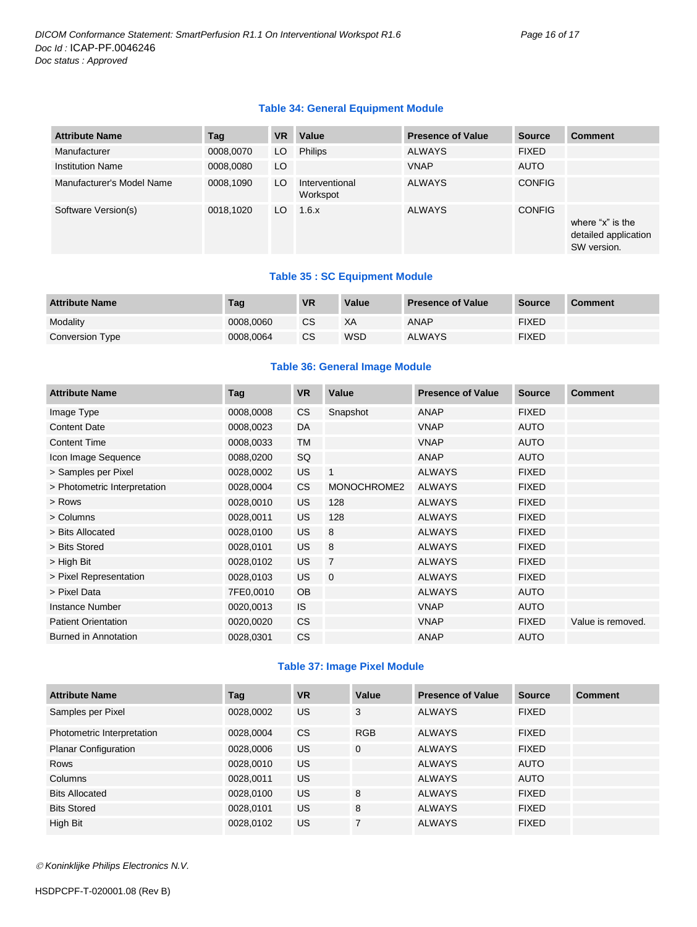#### **Table 34: General Equipment Module**

| <b>Attribute Name</b>     | Tag       | <b>VR</b> | Value                      | <b>Presence of Value</b> | <b>Source</b> | <b>Comment</b>                                          |
|---------------------------|-----------|-----------|----------------------------|--------------------------|---------------|---------------------------------------------------------|
| Manufacturer              | 0008,0070 | LO        | <b>Philips</b>             | <b>ALWAYS</b>            | <b>FIXED</b>  |                                                         |
| <b>Institution Name</b>   | 0008,0080 | LO        |                            | <b>VNAP</b>              | <b>AUTO</b>   |                                                         |
| Manufacturer's Model Name | 0008,1090 | LO        | Interventional<br>Workspot | <b>ALWAYS</b>            | <b>CONFIG</b> |                                                         |
| Software Version(s)       | 0018,1020 | LO.       | 1.6.x                      | <b>ALWAYS</b>            | <b>CONFIG</b> | where "x" is the<br>detailed application<br>SW version. |

#### **Table 35 : SC Equipment Module**

| <b>Attribute Name</b> | Tag       | <b>VR</b> | Value      | <b>Presence of Value</b> | <b>Source</b> | <b>Comment</b> |
|-----------------------|-----------|-----------|------------|--------------------------|---------------|----------------|
| Modality              | 0008.0060 | CS        | XА         | ANAP                     | <b>FIXED</b>  |                |
| Conversion Type       | 0008.0064 | <b>CS</b> | <b>WSD</b> | <b>ALWAYS</b>            | <b>FIXED</b>  |                |

#### **Table 36: General Image Module**

| <b>Attribute Name</b>        | Tag       | <b>VR</b> | Value          | <b>Presence of Value</b> | <b>Source</b> | <b>Comment</b>    |
|------------------------------|-----------|-----------|----------------|--------------------------|---------------|-------------------|
| Image Type                   | 0008,0008 | CS        | Snapshot       | ANAP                     | <b>FIXED</b>  |                   |
| <b>Content Date</b>          | 0008,0023 | DA        |                | <b>VNAP</b>              | <b>AUTO</b>   |                   |
| <b>Content Time</b>          | 0008,0033 | TM        |                | <b>VNAP</b>              | <b>AUTO</b>   |                   |
| Icon Image Sequence          | 0088,0200 | SQ        |                | <b>ANAP</b>              | <b>AUTO</b>   |                   |
| > Samples per Pixel          | 0028,0002 | <b>US</b> | $\overline{1}$ | <b>ALWAYS</b>            | <b>FIXED</b>  |                   |
| > Photometric Interpretation | 0028,0004 | CS        | MONOCHROME2    | <b>ALWAYS</b>            | <b>FIXED</b>  |                   |
| > Rows                       | 0028,0010 | <b>US</b> | 128            | <b>ALWAYS</b>            | <b>FIXED</b>  |                   |
| > Columns                    | 0028,0011 | <b>US</b> | 128            | <b>ALWAYS</b>            | <b>FIXED</b>  |                   |
| > Bits Allocated             | 0028,0100 | <b>US</b> | 8              | <b>ALWAYS</b>            | <b>FIXED</b>  |                   |
| > Bits Stored                | 0028,0101 | <b>US</b> | 8              | <b>ALWAYS</b>            | <b>FIXED</b>  |                   |
| > High Bit                   | 0028,0102 | <b>US</b> | $\overline{7}$ | <b>ALWAYS</b>            | <b>FIXED</b>  |                   |
| > Pixel Representation       | 0028,0103 | <b>US</b> | $\overline{0}$ | <b>ALWAYS</b>            | <b>FIXED</b>  |                   |
| > Pixel Data                 | 7FE0,0010 | <b>OB</b> |                | <b>ALWAYS</b>            | <b>AUTO</b>   |                   |
| <b>Instance Number</b>       | 0020,0013 | IS.       |                | <b>VNAP</b>              | <b>AUTO</b>   |                   |
| <b>Patient Orientation</b>   | 0020,0020 | <b>CS</b> |                | <b>VNAP</b>              | <b>FIXED</b>  | Value is removed. |
| Burned in Annotation         | 0028,0301 | <b>CS</b> |                | ANAP                     | AUTO          |                   |

#### **Table 37: Image Pixel Module**

| <b>Attribute Name</b>       | Tag       | <b>VR</b> | Value      | <b>Presence of Value</b> | <b>Source</b> | <b>Comment</b> |
|-----------------------------|-----------|-----------|------------|--------------------------|---------------|----------------|
| Samples per Pixel           | 0028,0002 | US.       | 3          | <b>ALWAYS</b>            | <b>FIXED</b>  |                |
| Photometric Interpretation  | 0028,0004 | <b>CS</b> | <b>RGB</b> | ALWAYS                   | <b>FIXED</b>  |                |
| <b>Planar Configuration</b> | 0028,0006 | <b>US</b> | $\Omega$   | <b>ALWAYS</b>            | <b>FIXED</b>  |                |
| Rows                        | 0028,0010 | US.       |            | <b>ALWAYS</b>            | <b>AUTO</b>   |                |
| Columns                     | 0028,0011 | <b>US</b> |            | <b>ALWAYS</b>            | <b>AUTO</b>   |                |
| <b>Bits Allocated</b>       | 0028,0100 | US.       | 8          | <b>ALWAYS</b>            | <b>FIXED</b>  |                |
| <b>Bits Stored</b>          | 0028,0101 | US.       | 8          | <b>ALWAYS</b>            | <b>FIXED</b>  |                |
| High Bit                    | 0028,0102 | US        |            | <b>ALWAYS</b>            | <b>FIXED</b>  |                |